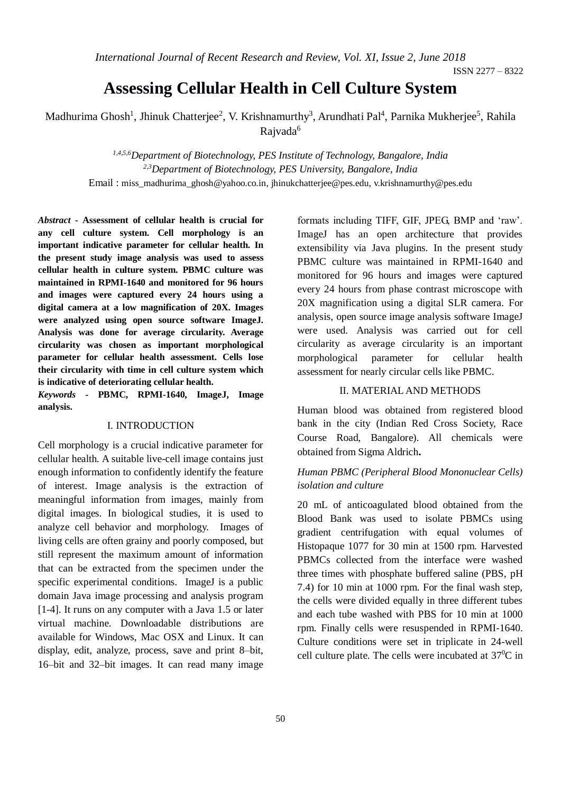ISSN 2277 – 8322

# **Assessing Cellular Health in Cell Culture System**

Madhurima Ghosh<sup>1</sup>, Jhinuk Chatterjee<sup>2</sup>, V. Krishnamurthy<sup>3</sup>, Arundhati Pal<sup>4</sup>, Parnika Mukherjee<sup>5</sup>, Rahila Rajvada<sup>6</sup>

*1,4,5,6Department of Biotechnology, PES Institute of Technology, Bangalore, India 2,3Department of Biotechnology, PES University, Bangalore, India* Email : miss\_madhurima\_ghosh@yahoo.co.in, jhinukchatterjee@pes.edu, v.krishnamurthy@pes.edu

*Abstract -* **Assessment of cellular health is crucial for any cell culture system. Cell morphology is an important indicative parameter for cellular health. In the present study image analysis was used to assess cellular health in culture system. PBMC culture was maintained in RPMI-1640 and monitored for 96 hours and images were captured every 24 hours using a digital camera at a low magnification of 20X. Images were analyzed using open source software ImageJ. Analysis was done for average circularity. Average circularity was chosen as important morphological parameter for cellular health assessment. Cells lose their circularity with time in cell culture system which is indicative of deteriorating cellular health.** 

*Keywords -* **PBMC, RPMI-1640, ImageJ, Image analysis.**

#### I. INTRODUCTION

Cell morphology is a crucial indicative parameter for cellular health. A suitable live-cell image contains just enough information to confidently identify the feature of interest. Image analysis is the extraction of meaningful information from images, mainly from digital images. In biological studies, it is used to analyze cell behavior and morphology. Images of living cells are often grainy and poorly composed, but still represent the maximum amount of information that can be extracted from the specimen under the specific experimental conditions. ImageJ is a public domain Java image processing and analysis program [1-4]. It runs on any computer with a Java 1.5 or later virtual machine. Downloadable distributions are available for Windows, Mac OSX and Linux. It can display, edit, analyze, process, save and print 8–bit, 16–bit and 32–bit images. It can read many image

formats including TIFF, GIF, JPEG, BMP and 'raw'. ImageJ has an open architecture that provides extensibility via Java plugins. In the present study PBMC culture was maintained in RPMI-1640 and monitored for 96 hours and images were captured every 24 hours from phase contrast microscope with 20X magnification using a digital SLR camera. For analysis, open source image analysis software ImageJ were used. Analysis was carried out for cell circularity as average circularity is an important morphological parameter for cellular health assessment for nearly circular cells like PBMC.

## II. MATERIAL AND METHODS

Human blood was obtained from registered blood bank in the city (Indian Red Cross Society, Race Course Road, Bangalore). All chemicals were obtained from Sigma Aldrich**.**

## *Human PBMC (Peripheral Blood Mononuclear Cells) isolation and culture*

20 mL of anticoagulated blood obtained from the Blood Bank was used to isolate PBMCs using gradient centrifugation with equal volumes of Histopaque 1077 for 30 min at 1500 rpm. Harvested PBMCs collected from the interface were washed three times with phosphate buffered saline (PBS, pH 7.4) for 10 min at 1000 rpm. For the final wash step, the cells were divided equally in three different tubes and each tube washed with PBS for 10 min at 1000 rpm. Finally cells were resuspended in RPMI-1640. Culture conditions were set in triplicate in 24-well cell culture plate. The cells were incubated at  $37^{\circ}$ C in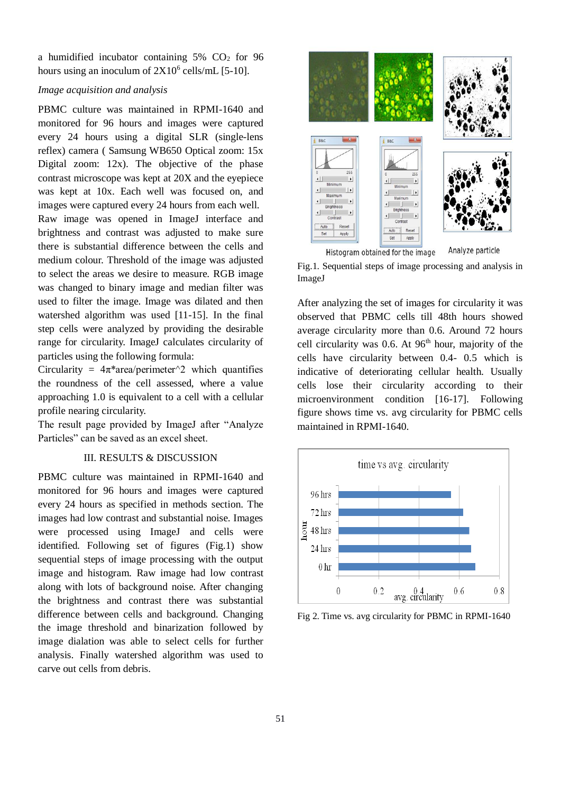a humidified incubator containing  $5\%$  CO<sub>2</sub> for 96 hours using an inoculum of  $2X10^6$  cells/mL [5-10].

## *Image acquisition and analysis*

PBMC culture was maintained in RPMI-1640 and monitored for 96 hours and images were captured every 24 hours using a digital SLR (single-lens reflex) camera ( Samsung WB650 Optical zoom: 15x Digital zoom: 12x). The objective of the phase contrast microscope was kept at 20X and the eyepiece was kept at 10x. Each well was focused on, and images were captured every 24 hours from each well. Raw image was opened in ImageJ interface and brightness and contrast was adjusted to make sure there is substantial difference between the cells and medium colour. Threshold of the image was adjusted to select the areas we desire to measure. RGB image was changed to binary image and median filter was used to filter the image. Image was dilated and then watershed algorithm was used [11-15]. In the final step cells were analyzed by providing the desirable range for circularity. ImageJ calculates circularity of particles using the following formula:

Circularity =  $4\pi^*$ area/perimeter<sup> $\wedge$ 2 which quantifies</sup> the roundness of the cell assessed, where a value approaching 1.0 is equivalent to a cell with a cellular profile nearing circularity.

The result page provided by ImageJ after "Analyze Particles" can be saved as an excel sheet.

## III. RESULTS & DISCUSSION

PBMC culture was maintained in RPMI-1640 and monitored for 96 hours and images were captured every 24 hours as specified in methods section. The images had low contrast and substantial noise. Images were processed using ImageJ and cells were identified. Following set of figures (Fig.1) show sequential steps of image processing with the output image and histogram. Raw image had low contrast along with lots of background noise. After changing the brightness and contrast there was substantial difference between cells and background. Changing the image threshold and binarization followed by image dialation was able to select cells for further analysis. Finally watershed algorithm was used to carve out cells from debris.



Histogram obtained for the image

Analyze particle

Fig.1. Sequential steps of image processing and analysis in ImageJ

After analyzing the set of images for circularity it was observed that PBMC cells till 48th hours showed average circularity more than 0.6. Around 72 hours cell circularity was  $0.6$ . At  $96<sup>th</sup>$  hour, majority of the cells have circularity between 0.4- 0.5 which is indicative of deteriorating cellular health. Usually cells lose their circularity according to their microenvironment condition [16-17]. Following figure shows time vs. avg circularity for PBMC cells maintained in RPMI-1640.



Fig 2. Time vs. avg circularity for PBMC in RPMI-1640